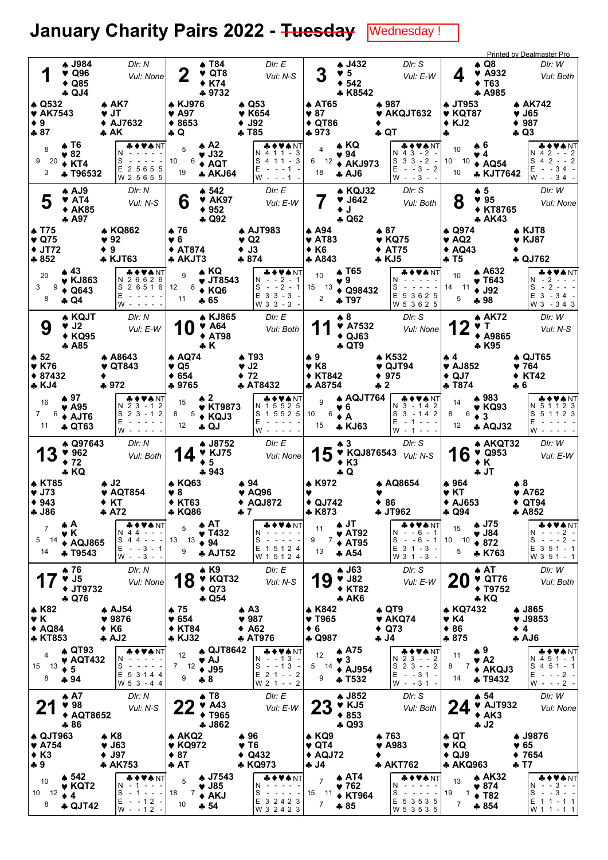## January Charity Pairs 2022 - <del>Tuesday</del> Wednesday!

|                                                                             |                                                                              |                                                                                                                                                                                                   |                                                             |                                                                              |                                                                                 |                                                                     |                                                                        |                                                                                       |                                                                           | Printed by Dealmaster Pro                                                                                                                  |
|-----------------------------------------------------------------------------|------------------------------------------------------------------------------|---------------------------------------------------------------------------------------------------------------------------------------------------------------------------------------------------|-------------------------------------------------------------|------------------------------------------------------------------------------|---------------------------------------------------------------------------------|---------------------------------------------------------------------|------------------------------------------------------------------------|---------------------------------------------------------------------------------------|---------------------------------------------------------------------------|--------------------------------------------------------------------------------------------------------------------------------------------|
| И                                                                           | <b>4 J984</b><br>$\blacktriangledown$ Q96<br>$\triangle$ Q85<br><b>4 QJ4</b> | Dir: N<br>Vul: None                                                                                                                                                                               | 2                                                           | <b>4 T84</b><br>$\blacktriangledown$ QT8<br><b>◆ K74</b><br>♣ 9732           | DIr: E<br>Vul: N-S                                                              | 3                                                                   | <b>↑ J432</b><br>$\blacktriangledown$ 5<br>$+ 542$<br>* K8542          | DIr: S<br>Vul: E-W                                                                    | $\clubsuit$ Q8<br>4<br>♦ Т63                                              | DIr: W<br>$\blacktriangledown$ A932<br>Vul: Both<br><b>A A985</b>                                                                          |
| $\triangle$ Q532<br>♥ AK7543<br>$\bullet$ 9<br>$-87$                        |                                                                              | $\triangle$ AK7<br>♥ JT<br>◆ AJ7632<br>A K                                                                                                                                                        | <b>A KJ976</b><br>♥ A97<br>$*8653$<br>÷ Q                   |                                                                              | $\clubsuit$ Q53<br>♥ K654<br><b>J92</b><br>♣ T85                                | ♦ AT65<br>$\blacktriangledown 87$<br>$\triangle$ QT86<br>$+973$     |                                                                        | $*987$<br>AKQJT632<br>♣ QT                                                            | <b>A JT953</b><br>$\blacktriangledown$ KQT87<br>$*$ KJ2<br>4              | ♦ AK742<br>♥ J65<br>$* 987$<br>÷ Q3                                                                                                        |
| 8<br>9<br>20<br>3                                                           | A T6<br>$\blacktriangledown 82$<br>$\div$ KT4<br><b>4 T96532</b>             | <b>&amp;♦♥★</b> NT<br>N<br>S<br>E 2 5 6 5 5<br>W 2 5 6 5 5                                                                                                                                        | 5<br>10<br>6<br>19                                          | $\triangle$ A2<br>♥ J32<br>$\triangle$ AQT<br><b>* AKJ64</b>                 | & ♦ ♥ ♠ NT<br>N 4 1 1 - 3<br>S 4 1 1 - 3<br>E<br>$- - 1$<br>W<br>$- - 1 -$      | $\overline{\mathbf{4}}$<br>6<br>12<br>18                            | $\triangle$ KQ<br>♥ 94<br>$\triangle$ AKJ973<br><b>AJ6</b>             | ♣♦♥♠NT<br>$N$ 4 3 - 2 -<br>S<br>$3 \cdot 3 - 2 -$<br>Е<br>$- - 3 - 2$<br>$W - -3 - -$ | ♠6<br>10<br>♥ 4<br>10<br>10<br>10                                         | <b>* ◆ ♥ ♠</b> NT<br>$2 - - 2$<br>N.<br>4<br>$S_4 2 - 2$<br>$\triangle$ AQ54<br>Е<br>$-34 -$<br><b>* KJT7642</b><br>$W - 34$               |
| 5                                                                           | A AJ9<br>♥ AT4<br><b>◆ AK85</b><br>A97                                       | DIr: N<br>Vul: N-S                                                                                                                                                                                | 6                                                           | $\spadesuit$ 542<br>$\blacktriangledown$ AK97<br>$* 952$<br><b>4 Q92</b>     | Dir: E<br>Vul: E-W                                                              |                                                                     | $\triangle$ KQJ32<br>♥ J642<br>$\bullet$ J<br><b>4 Q62</b>             | DIr: S<br>Vul: Both                                                                   | ▲ 5<br>8<br>♥ 95                                                          | Dir: W<br>Vul: None<br><b>◆ KT8765</b><br><b>AK43</b>                                                                                      |
| ♠ T75<br>$\blacktriangledown$ Q75<br>$\blacklozenge$ JT72<br>♣ 852          |                                                                              | ♠ KQ862<br>92<br>♦ 9<br><b>* KJT63</b>                                                                                                                                                            | ♠ 76<br>♥6<br>$\blacklozenge$ AT874<br>* AKJT3              |                                                                              | <b>A AJT983</b><br>$\blacktriangledown$ Q2<br>$\bullet$ J3<br>$*874$            | ▲ A94<br>$\blacktriangledown$ AT83<br>◆ K6<br>♣ A843                |                                                                        | ▲ 87<br>♥ KQ75<br><b>AT75</b><br>♣ KJ5                                                | ♠ Q974<br>$\blacktriangledown$ AQ2<br>$\triangle$ AQ43<br>♣ T5            | ▲ KJT8<br>♥ KJ87<br>+ QJ762                                                                                                                |
| 20<br>3<br>9<br>8                                                           | ▲ 43<br>$\blacktriangledown$ KJ863<br>$\triangleleft$ Q643<br>$\clubsuit$ Q4 | ◆♥♠NT<br>N 26626<br>S 2 6 5 1 6<br>E<br>W-                                                                                                                                                        | 9<br>12<br>11                                               | ▲ KQ<br>$\blacktriangledown$ JT8543<br>$8 + KQ6$<br>♣ 65                     | U A NT<br>$2 - 1$<br>N.<br>S<br>$- - 2 - 1$<br>$E$ 3 3 - 3 -<br>W 3 3 - 3 -     | 10<br>15 13<br>2                                                    | ▲ Т65<br>♥9.<br>$\triangle$ Q98432<br>* T97                            | & ♦ ♥ ₳ NT<br>N<br>S<br>E 5 3 6 2 5<br>W 5 3 6 2 5                                    | 10<br>14 11<br>$\div$ J92<br>5<br>♣98                                     | ▲ A632<br>◆♥◆NT<br>N - 2 -<br>♥ Т643<br>$\overline{2}$<br>S<br>$E$ 3 - 34 -<br>W 3 - 3 4 3                                                 |
| 9                                                                           | ♠ KQJT<br>♥ J2<br><b>◆ KQ95</b><br>A85                                       | Dir: N<br>Vul: E-W                                                                                                                                                                                | 10                                                          | <b>A KJ865</b><br>$\blacktriangledown$ A64<br><b>◆ AT98</b><br>♣ K           | DIr: E<br>Vul: Both                                                             |                                                                     | ▲ 8<br>♥ A7532<br>$\triangle$ QJ63<br>$\clubsuit$ QT9                  | DIr: S<br>Vul: None                                                                   | 2<br>Y T<br>* K95                                                         | ♠ AK72<br>DIr: W<br>Vul: N-S<br>◆ A9865                                                                                                    |
| $\clubsuit$ 52<br><b>v</b> K76<br>$*87432$<br><b>* KJ4</b>                  |                                                                              | <b>A A8643</b><br>♥ QT843<br>$*972$                                                                                                                                                               | ♠ AQ74<br>♥ Q5<br>$* 654$<br>♣ 9765                         |                                                                              | A T93<br>$\blacktriangledown$ J2<br>♦ 72<br><b>AT8432</b>                       | ♠9<br>$\blacktriangledown$ K <sub>8</sub><br>♦ KT842<br>* A8754     |                                                                        | ♦ K532<br>$\blacktriangledown$ QJT94<br>♦ 975<br>♣ 2                                  | ₩4<br>$\blacktriangledown$ AJ852<br>$\triangle$ QJ7<br><b>4 T874</b>      | ♠ QJT65<br>♥ 764<br>$*$ KT42<br>♣ 6                                                                                                        |
| 16<br>$7^{\circ}$<br>6<br>11                                                | $\clubsuit$ 97<br>♥ A95<br>+ AJT6<br><b>4 QT63</b>                           | <b>▲◆♥♠</b> NT<br>N 2 3 - 1 2<br>$S$ 2 3 - 1 2<br>E<br>W                                                                                                                                          | 15<br>5<br>8<br>12                                          | $\clubsuit$ 2<br>♥ KT9873<br>$\triangle$ KQJ3<br>♣ QJ                        | ♣♦♥♠ NT<br>N 15525<br>S 1 5 5 2 5<br>E                                          | 9<br>10<br>6<br>15                                                  | A AQJT764<br>6<br>$\mathbf{A}$<br>* KJ63                               | <b>∻♦♥♠</b> NT<br>N 3 - 14 2<br>S<br>$3 - 142$<br>Ε<br>$-1 - - -$                     | ▲ 983<br>14<br>8<br>6<br>$\bullet$ 3<br>12                                | <b>▲◆♥♠</b> NT<br>5 1 1 2 3<br>♥ KQ93<br>N.<br>S 5 1 1 2 3<br>E<br><b>AQJ32</b><br>W                                                       |
|                                                                             |                                                                              |                                                                                                                                                                                                   |                                                             |                                                                              | w - - - -                                                                       |                                                                     |                                                                        | W<br>$-1 - - -$                                                                       |                                                                           |                                                                                                                                            |
| 13                                                                          | ♦ Q97643<br>962<br>$+72$                                                     | DIr: N<br>Vul: Both                                                                                                                                                                               |                                                             | <b>↑ J8752</b><br><b>V</b> KJ75<br>5<br>$+943$                               | Dir: E<br>Vul: None                                                             | 15                                                                  | ₩3.<br>$*$ K <sub>3</sub>                                              | DIr: S<br>$\blacktriangledown$ KQJ876543 $V$ ul: N-S                                  | 6<br>1<br>$\bullet K$<br>♣ JT                                             | DIr: W<br>♠ AKQT32<br>$\blacktriangledown$ Q953<br>Vul: E-W                                                                                |
| <b>4 KT85</b><br>$\blacktriangledown$ J73<br>$*943$<br>♣ J86                | ♣ KQ                                                                         | ♠ J2<br><b>* AQT854</b><br>♦ KT<br>$+ A72$                                                                                                                                                        | <b>A KQ63</b><br>♥ 8<br><b>◆ KT63</b><br>* KQ86             |                                                                              | ♠ 94<br>♥ AQ96<br>$\triangle$ AQJ872<br>♣ 7                                     | <b>A</b> K972<br>$\triangle$ QJ742<br>* K873                        | $\clubsuit$ Q                                                          | ♦ AQ8654<br>♦ 86<br>♣ JT962                                                           | ♦ 964<br>♥ KT<br><b>↑ AJ653</b><br>♣ Q94                                  | ♠8<br>$\blacktriangledown$ A762<br>$\bullet$ QT94<br>$\clubsuit$ A852                                                                      |
| 5<br>-14<br>14                                                              | фA<br>v K<br><b>↑ AQJ865</b><br><b>4 T9543</b>                               | <del>&amp;</del> ♦♥♠NT<br>N 44<br>S 4 4<br>$\frac{1}{2} \left( \frac{1}{2} \right) \left( \frac{1}{2} \right) \left( \frac{1}{2} \right) \left( \frac{1}{2} \right)$<br>$E - 3 - 1$<br>$W - -3 -$ | 5<br>13 13<br>9                                             | $\clubsuit$ AT<br>$\blacktriangledown$ T432<br>$* 94$<br><b>* AJT52</b>      | <b>₩♦♥₩</b> ΝΤ<br>N<br>S<br>E 1 5 1 2 4<br>W 1 5 1 2 4                          | 11<br>7<br>9<br>13                                                  | ∱JT<br>$\blacktriangledown$ AT92<br>$\triangle$ AT95<br>A 54           | ♣♦♥♠NT<br>N - -6 - 1<br>$- - 6 - 1$<br>S<br>$E$ 3 1 - 3 -<br>W 3 1 - 3                | <b>A</b> J75<br>15<br>$\blacktriangledown$ J84<br>10<br>10<br>$*872$<br>5 | ♣♦♥♠NT<br>$- -2 -$<br>N<br>S<br>$- - - 2 -$<br>$E$ 3 5 1 - 1<br>* K763<br>W 3 5 1 - 1                                                      |
|                                                                             | ♦ 76<br>$\blacktriangledown$ J5<br><b>◆ JT9732</b><br>♣ Q76                  | DIr: N<br>Vul: None                                                                                                                                                                               | 8                                                           | $\triangle$ K9<br><b>V KQT32</b><br>$\triangle$ Q73<br>÷ Q54                 | Dir: E<br>Vul: N-S                                                              | 19                                                                  | $\clubsuit$ J63<br>$\blacktriangledown$ J82<br><b>◆ KT82</b><br>$*AK6$ | Dir: S<br>Vul: E-W                                                                    | $\triangle$ AT<br><b>20</b><br>$*$ KQ                                     | Dir: W<br>$\blacktriangledown$ QT76<br>Vul: Both<br><b>↑ T9752</b>                                                                         |
| <b>A K82</b><br>VK.<br>$\triangle$ AQ84<br><b>* KT853</b>                   |                                                                              | ♠ AJ54<br>$* 9876$<br>$\bullet$ K6<br>A.J2                                                                                                                                                        | $\clubsuit$ 75<br>$* 654$<br><b>◆ KT84</b><br><b>* KJ32</b> |                                                                              | $\clubsuit$ A3<br>$\blacktriangledown$ 987<br>$\triangle$ A62<br><b>A AT976</b> | <b>A</b> K842<br>$\blacktriangledown$ T965<br>$\bullet$ 6<br>+ Q987 |                                                                        | $\clubsuit$ QT9<br>$\blacktriangledown$ AKQ74<br>$\triangleleft$ Q73<br>4ل ئ          | <b>* KQ7432</b><br>♥ K4<br>$\bullet$ 86<br>$*875$                         | ♣ J865<br>$\blacktriangledown$ J9853<br>$\bullet$ 4<br>AJ6                                                                                 |
| 4<br>15 13<br>8                                                             | $\triangle$ QT93<br>$\blacktriangledown$ AQT432<br>$\div$ 5<br>$+94$         | N<br>S<br>$\sim$<br>E 5 3 1 4 4<br>W 5 3 - 4 4                                                                                                                                                    | 12<br>7 12<br>9                                             | A QJT8642<br>♥ AJ<br>$\triangle$ J95<br>$+8$                                 | ◆♥♠NT<br>N - -13 -<br>S<br>$- - 13$<br>$E$ 2 1 - - 2<br>W 2 1 - - 2             | 12<br>5<br>14<br>9                                                  | <b>A75</b><br>$\sqrt{3}$<br><b>↑ AJ954</b><br><b>4 T532</b>            | <b>₳♦♥₳</b> ℕ™<br>N 2 3 - - 2<br>$23 - 2$<br>S<br>Е<br>$-31 -$<br>$W - -31 -$         | $\clubsuit$ 9<br>11<br>$\blacktriangledown$ A2<br>8<br>7<br>14            | <b>♣♦♥♠</b> NT<br>N 4 5 1 - 1<br>$451 - 1$<br>S<br>$\triangle$ AKQJ3<br>Ε<br>$- - 2 -$<br>$\overline{\phantom{a}}$<br>+T9432<br>$W - - -2$ |
| 21                                                                          | $\spadesuit$ A7<br>498<br>◆ AQT8652<br>♣ 86                                  | Dir: N<br>Vul: N-S                                                                                                                                                                                | 22                                                          | $\clubsuit$ T8<br>$\blacktriangledown$ A43<br><b>◆ T965</b><br><b>4 J862</b> | DIr: E<br>Vul: E-W                                                              | <b>23</b>                                                           | <b>A J852</b><br>$\blacktriangledown$ KJ5<br>$*853$<br>$\clubsuit$ Q93 | Dir: S<br>Vul: Both                                                                   | $\clubsuit$ 54<br>24<br>$* AK3$<br>$+ J2$                                 | DIr: W<br>$\blacktriangledown$ AJT932<br>Vul: None                                                                                         |
| ♦ QJT963<br>$\blacktriangledown$ A754<br>$\triangle$ K <sub>3</sub><br>$+9$ |                                                                              | ♠ K8<br>$\blacktriangledown$ J63<br>$\blacklozenge$ J97<br><b>AK753</b>                                                                                                                           | <b>A AKQ2</b><br>♥ KQ972<br>$\bullet$ 87<br>♣ AT            | <b>4 J7543</b>                                                               | ♠ 96<br>♥ T6<br>$\triangleleft$ Q432<br>* KQ973                                 | ♠ KQ9<br>♥ QT4<br>♦ AQJ72<br>J4 په                                  | v.                                                                     | ♦ 763<br>A983<br>♣ AKT762                                                             | ♠ QT<br>♥ KQ<br>$\triangle$ QJ9<br>♣ AKQ963                               | ♣ J9876<br>$\blacktriangledown 65$<br>$*7654$<br>÷ T7                                                                                      |